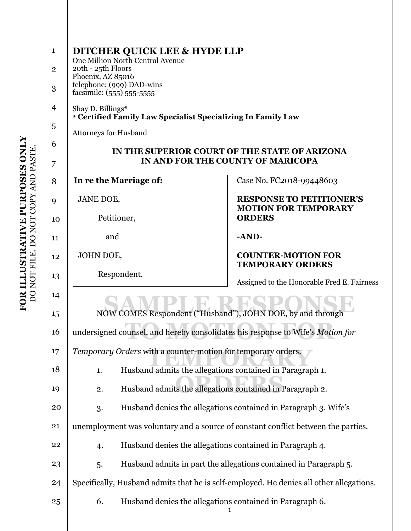| $\mathbf{1}$   | <b>DITCHER QUICK LEE &amp; HYDE LLP</b>                                                 |                                                                  |  |
|----------------|-----------------------------------------------------------------------------------------|------------------------------------------------------------------|--|
| $\mathbf{2}$   | One Million North Central Avenue<br>20th - 25th Floors                                  |                                                                  |  |
| 3              | Phoenix, AZ 85016<br>telephone: (999) DAD-wins<br>facsimile: (555) 555-5555             |                                                                  |  |
| $\overline{4}$ | Shay D. Billings*<br>* Certified Family Law Specialist Specializing In Family Law       |                                                                  |  |
| 5              | <b>Attorneys for Husband</b>                                                            |                                                                  |  |
| 6              | IN THE SUPERIOR COURT OF THE STATE OF ARIZONA<br>IN AND FOR THE COUNTY OF MARICOPA      |                                                                  |  |
| 7              |                                                                                         |                                                                  |  |
| 8              | In re the Marriage of:                                                                  | Case No. FC2018-99448603                                         |  |
| 9              | JANE DOE,                                                                               | <b>RESPONSE TO PETITIONER'S</b><br><b>MOTION FOR TEMPORARY</b>   |  |
| 10             | Petitioner,                                                                             | <b>ORDERS</b>                                                    |  |
| 11             | and                                                                                     | $-AND-$                                                          |  |
| 12             | JOHN DOE,                                                                               | <b>COUNTER-MOTION FOR</b><br><b>TEMPORARY ORDERS</b>             |  |
| 13             | Respondent.                                                                             | Assigned to the Honorable Fred E. Fairness                       |  |
| 14             |                                                                                         |                                                                  |  |
| 15             | NOW COMES Respondent ("Husband"), JOHN DOE, by and through                              |                                                                  |  |
| 16             | undersigned counsel, and hereby consolidates his response to Wife's Motion for          |                                                                  |  |
| 17             | Temporary Orders with a counter-motion for temporary orders.                            |                                                                  |  |
| 18             | Husband admits the allegations contained in Paragraph 1.<br>1.                          |                                                                  |  |
| 19             | Husband admits the allegations contained in Paragraph 2.<br>2.                          |                                                                  |  |
| 20             | 3.                                                                                      | Husband denies the allegations contained in Paragraph 3. Wife's  |  |
| 21             | unemployment was voluntary and a source of constant conflict between the parties.       |                                                                  |  |
| 22             | Husband denies the allegations contained in Paragraph 4.<br>4.                          |                                                                  |  |
| 23             | 5.                                                                                      | Husband admits in part the allegations contained in Paragraph 5. |  |
| 24             | Specifically, Husband admits that he is self-employed. He denies all other allegations. |                                                                  |  |
| 25             | Husband denies the allegations contained in Paragraph 6.<br>6.                          |                                                                  |  |
|                |                                                                                         | 1                                                                |  |
|                |                                                                                         |                                                                  |  |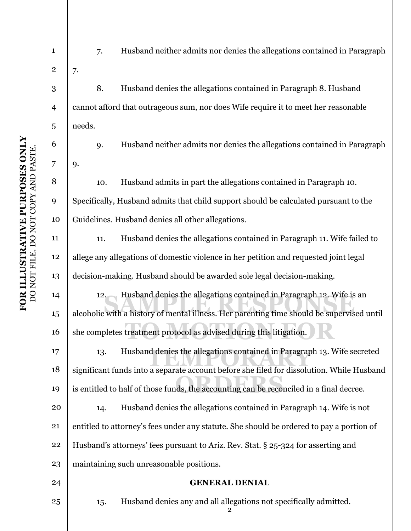| $\mathbf{1}$            | Husband neither admits nor denies the allegations contained in Paragraph<br>7.            |  |
|-------------------------|-------------------------------------------------------------------------------------------|--|
| $\overline{\mathbf{c}}$ | 7.                                                                                        |  |
| 3                       | 8.<br>Husband denies the allegations contained in Paragraph 8. Husband                    |  |
| $\overline{4}$          | cannot afford that outrageous sum, nor does Wife require it to meet her reasonable        |  |
| 5                       | needs.                                                                                    |  |
| 6                       | Husband neither admits nor denies the allegations contained in Paragraph<br>9.            |  |
| 7                       | 9.                                                                                        |  |
| 8                       | Husband admits in part the allegations contained in Paragraph 10.<br>10.                  |  |
| 9                       | Specifically, Husband admits that child support should be calculated pursuant to the      |  |
| 10                      | Guidelines. Husband denies all other allegations.                                         |  |
| 11                      | Husband denies the allegations contained in Paragraph 11. Wife failed to<br>11.           |  |
| 12                      | allege any allegations of domestic violence in her petition and requested joint legal     |  |
| 13                      | decision-making. Husband should be awarded sole legal decision-making.                    |  |
| 14                      | Husband denies the allegations contained in Paragraph 12. Wife is an<br>12.               |  |
| 15                      | alcoholic with a history of mental illness. Her parenting time should be supervised until |  |
| 16                      | she completes treatment protocol as advised during this litigation.                       |  |
| 17                      | Husband denies the allegations contained in Paragraph 13. Wife secreted<br>13.            |  |
| 18                      | significant funds into a separate account before she filed for dissolution. While Husband |  |
| 19                      | is entitled to half of those funds, the accounting can be reconciled in a final decree.   |  |
| 20                      | Husband denies the allegations contained in Paragraph 14. Wife is not<br>14.              |  |
| 21                      | entitled to attorney's fees under any statute. She should be ordered to pay a portion of  |  |
| 22                      | Husband's attorneys' fees pursuant to Ariz. Rev. Stat. § 25-324 for asserting and         |  |
| 23                      | maintaining such unreasonable positions.                                                  |  |
| 24                      | <b>GENERAL DENIAL</b>                                                                     |  |
| 25                      | Husband denies any and all allegations not specifically admitted.<br>15.<br>2             |  |
|                         |                                                                                           |  |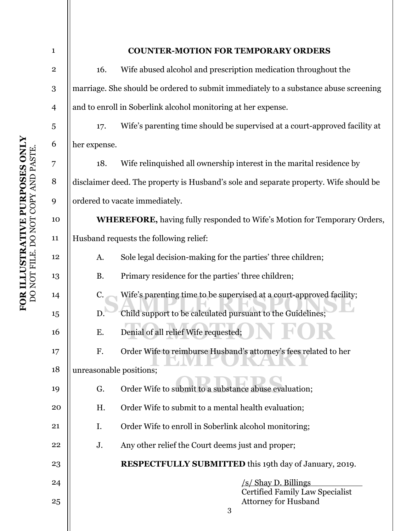| $\mathbf{1}$   |                                                                                       | <b>COUNTER-MOTION FOR TEMPORARY ORDERS</b>                                 |  |
|----------------|---------------------------------------------------------------------------------------|----------------------------------------------------------------------------|--|
| $\mathbf 2$    | 16.                                                                                   | Wife abused alcohol and prescription medication throughout the             |  |
| 3              | marriage. She should be ordered to submit immediately to a substance abuse screening  |                                                                            |  |
| $\overline{4}$ | and to enroll in Soberlink alcohol monitoring at her expense.                         |                                                                            |  |
| 5              | 17.                                                                                   | Wife's parenting time should be supervised at a court-approved facility at |  |
| 6              | her expense.                                                                          |                                                                            |  |
| 7              | 18.                                                                                   | Wife relinquished all ownership interest in the marital residence by       |  |
| 8              | disclaimer deed. The property is Husband's sole and separate property. Wife should be |                                                                            |  |
| 9              | ordered to vacate immediately.                                                        |                                                                            |  |
| 10             | <b>WHEREFORE, having fully responded to Wife's Motion for Temporary Orders,</b>       |                                                                            |  |
| 11             | Husband requests the following relief:                                                |                                                                            |  |
| 12             | A.                                                                                    | Sole legal decision-making for the parties' three children;                |  |
| 13             | <b>B.</b>                                                                             | Primary residence for the parties' three children;                         |  |
| 14             | C.                                                                                    | Wife's parenting time to be supervised at a court-approved facility;       |  |
| 15             | D.                                                                                    | Child support to be calculated pursuant to the Guidelines;                 |  |
| 16             | Ε.                                                                                    | Denial of all relief Wife requested;                                       |  |
| 17             | F.                                                                                    | Order Wife to reimburse Husband's attorney's fees related to her           |  |
| 18             | unreasonable positions;                                                               |                                                                            |  |
| 19             | G.                                                                                    | Order Wife to submit to a substance abuse evaluation;                      |  |
| 20             | H.                                                                                    | Order Wife to submit to a mental health evaluation;                        |  |
| 21             | I.                                                                                    | Order Wife to enroll in Soberlink alcohol monitoring;                      |  |
| 22             | J.                                                                                    | Any other relief the Court deems just and proper;                          |  |
| 23             |                                                                                       | <b>RESPECTFULLY SUBMITTED</b> this 19th day of January, 2019.              |  |
| 24             |                                                                                       | $\sqrt{s}$ Shay D. Billings                                                |  |
| 25             |                                                                                       | <b>Certified Family Law Specialist</b><br><b>Attorney for Husband</b><br>3 |  |
|                |                                                                                       |                                                                            |  |